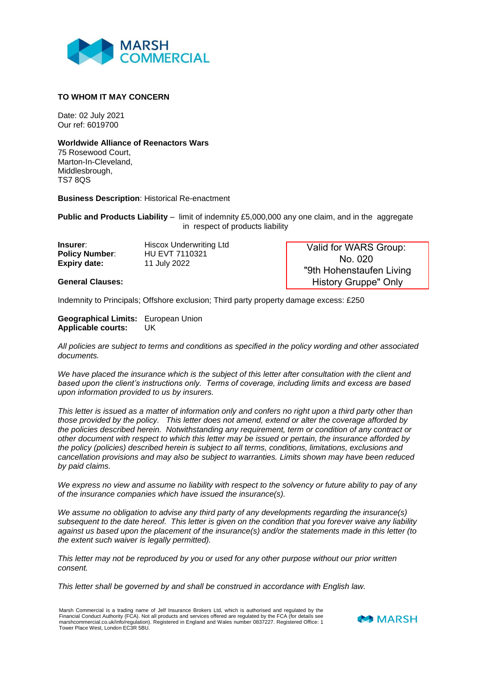

## **TO WHOM IT MAY CONCERN**

Date: 02 July 2021 Our ref: 6019700

## **Worldwide Alliance of Reenactors Wars**

75 Rosewood Court, Marton-In-Cleveland, Middlesbrough, TS7 8QS

**Business Description**: Historical Re-enactment

**Public and Products Liability** – limit of indemnity £5,000,000 any one claim, and in the aggregate in respect of products liability

| Insurer:              | <b>Hiscox Underwriting Ltd</b> |
|-----------------------|--------------------------------|
| <b>Policy Number:</b> | HU EVT 7110321                 |
| <b>Expiry date:</b>   | 11 July 2022                   |

**General Clauses:**

Valid for WARS Group: No. 020 "9th Hohenstaufen Living History Gruppe" Only

Indemnity to Principals; Offshore exclusion; Third party property damage excess: £250

**Geographical Limits:** European Union **Applicable courts:** UK

*All policies are subject to terms and conditions as specified in the policy wording and other associated documents.*

*We have placed the insurance which is the subject of this letter after consultation with the client and based upon the client's instructions only. Terms of coverage, including limits and excess are based upon information provided to us by insurers.*

*This letter is issued as a matter of information only and confers no right upon a third party other than those provided by the policy. This letter does not amend, extend or alter the coverage afforded by the policies described herein. Notwithstanding any requirement, term or condition of any contract or other document with respect to which this letter may be issued or pertain, the insurance afforded by the policy (policies) described herein is subject to all terms, conditions, limitations, exclusions and cancellation provisions and may also be subject to warranties. Limits shown may have been reduced by paid claims.*

*We express no view and assume no liability with respect to the solvency or future ability to pay of any of the insurance companies which have issued the insurance(s).*

*We assume no obligation to advise any third party of any developments regarding the insurance(s) subsequent to the date hereof. This letter is given on the condition that you forever waive any liability against us based upon the placement of the insurance(s) and/or the statements made in this letter (to the extent such waiver is legally permitted).*

*This letter may not be reproduced by you or used for any other purpose without our prior written consent.*

*This letter shall be governed by and shall be construed in accordance with English law.*

Marsh Commercial is a trading name of Jelf Insurance Brokers Ltd, which is authorised and regulated by the Financial Conduct Authority (FCA). Not all products and services offered are regulated by the FCA (for details see marshcommercial.co.uk/info/regulation). Registered in England and Wales number 0837227. Registered Office: 1 Tower Place West, London EC3R 5BU.